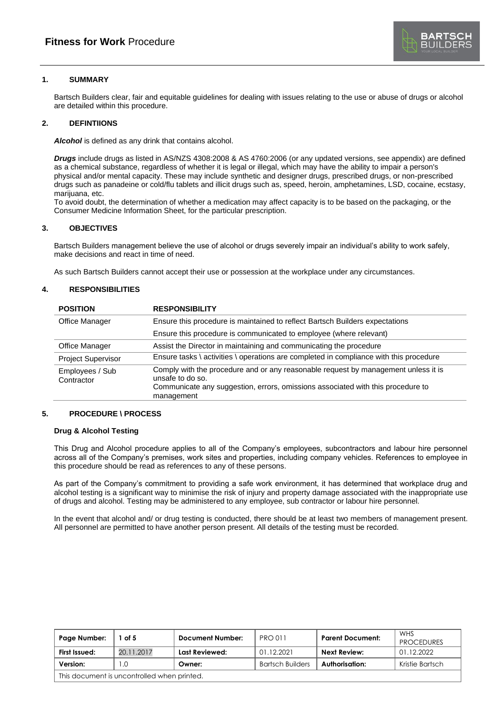

# **1. SUMMARY**

Bartsch Builders clear, fair and equitable guidelines for dealing with issues relating to the use or abuse of drugs or alcohol are detailed within this procedure.

## **2. DEFINTIIONS**

*Alcohol* is defined as any drink that contains alcohol.

*Drugs* include drugs as listed in AS/NZS 4308:2008 & AS 4760:2006 (or any updated versions, see appendix) are defined as a chemical substance, regardless of whether it is legal or illegal, which may have the ability to impair a person's physical and/or mental capacity. These may include synthetic and designer drugs, prescribed drugs, or non-prescribed drugs such as panadeine or cold/flu tablets and illicit drugs such as, speed, heroin, amphetamines, LSD, cocaine, ecstasy, marijuana, etc.

To avoid doubt, the determination of whether a medication may affect capacity is to be based on the packaging, or the Consumer Medicine Information Sheet, for the particular prescription.

## **3. OBJECTIVES**

Bartsch Builders management believe the use of alcohol or drugs severely impair an individual's ability to work safely, make decisions and react in time of need.

As such Bartsch Builders cannot accept their use or possession at the workplace under any circumstances.

### **4. RESPONSIBILITIES**

| <b>POSITION</b>               | <b>RESPONSIBILITY</b>                                                                                                                                                                                   |
|-------------------------------|---------------------------------------------------------------------------------------------------------------------------------------------------------------------------------------------------------|
| Office Manager                | Ensure this procedure is maintained to reflect Bartsch Builders expectations                                                                                                                            |
|                               | Ensure this procedure is communicated to employee (where relevant)                                                                                                                                      |
| <b>Office Manager</b>         | Assist the Director in maintaining and communicating the procedure                                                                                                                                      |
| <b>Project Supervisor</b>     | Ensure tasks \ activities \ operations are completed in compliance with this procedure                                                                                                                  |
| Employees / Sub<br>Contractor | Comply with the procedure and or any reasonable request by management unless it is<br>unsafe to do so.<br>Communicate any suggestion, errors, omissions associated with this procedure to<br>management |

### **5. PROCEDURE \ PROCESS**

#### **Drug & Alcohol Testing**

This Drug and Alcohol procedure applies to all of the Company's employees, subcontractors and labour hire personnel across all of the Company's premises, work sites and properties, including company vehicles. References to employee in this procedure should be read as references to any of these persons.

As part of the Company's commitment to providing a safe work environment, it has determined that workplace drug and alcohol testing is a significant way to minimise the risk of injury and property damage associated with the inappropriate use of drugs and alcohol. Testing may be administered to any employee, sub contractor or labour hire personnel.

In the event that alcohol and/ or drug testing is conducted, there should be at least two members of management present. All personnel are permitted to have another person present. All details of the testing must be recorded.

| Page Number:                                | of 5       | <b>Document Number:</b> | <b>PRO011</b>           | <b>Parent Document:</b> | WHS<br><b>PROCEDURES</b> |
|---------------------------------------------|------------|-------------------------|-------------------------|-------------------------|--------------------------|
| First Issued:                               | 20.11.2017 | Last Reviewed:          | 01.12.2021              | Next Review:            | 01.12.2022               |
| Version:                                    | $\Omega$   | Owner:                  | <b>Bartsch Builders</b> | Authorisation:          | Kristie Bartsch          |
| This document is uncontrolled when printed. |            |                         |                         |                         |                          |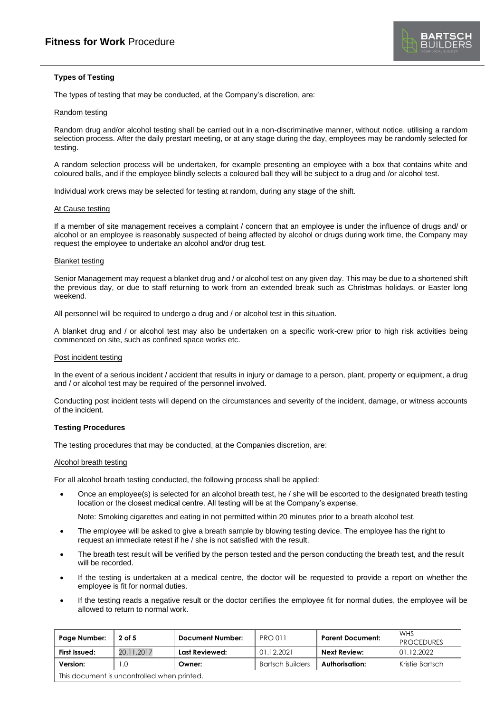# **Types of Testing**

The types of testing that may be conducted, at the Company's discretion, are:

# Random testing

Random drug and/or alcohol testing shall be carried out in a non-discriminative manner, without notice, utilising a random selection process. After the daily prestart meeting, or at any stage during the day, employees may be randomly selected for testing.

A random selection process will be undertaken, for example presenting an employee with a box that contains white and coloured balls, and if the employee blindly selects a coloured ball they will be subject to a drug and /or alcohol test.

Individual work crews may be selected for testing at random, during any stage of the shift.

#### At Cause testing

If a member of site management receives a complaint / concern that an employee is under the influence of drugs and/ or alcohol or an employee is reasonably suspected of being affected by alcohol or drugs during work time, the Company may request the employee to undertake an alcohol and/or drug test.

#### Blanket testing

Senior Management may request a blanket drug and / or alcohol test on any given day. This may be due to a shortened shift the previous day, or due to staff returning to work from an extended break such as Christmas holidays, or Easter long weekend.

All personnel will be required to undergo a drug and / or alcohol test in this situation.

A blanket drug and / or alcohol test may also be undertaken on a specific work-crew prior to high risk activities being commenced on site, such as confined space works etc.

#### Post incident testing

In the event of a serious incident / accident that results in injury or damage to a person, plant, property or equipment, a drug and / or alcohol test may be required of the personnel involved.

Conducting post incident tests will depend on the circumstances and severity of the incident, damage, or witness accounts of the incident.

### **Testing Procedures**

The testing procedures that may be conducted, at the Companies discretion, are:

## Alcohol breath testing

For all alcohol breath testing conducted, the following process shall be applied:

• Once an employee(s) is selected for an alcohol breath test, he / she will be escorted to the designated breath testing location or the closest medical centre. All testing will be at the Company's expense.

Note: Smoking cigarettes and eating in not permitted within 20 minutes prior to a breath alcohol test.

- The employee will be asked to give a breath sample by blowing testing device. The employee has the right to request an immediate retest if he / she is not satisfied with the result.
- The breath test result will be verified by the person tested and the person conducting the breath test, and the result will be recorded.
- If the testing is undertaken at a medical centre, the doctor will be requested to provide a report on whether the employee is fit for normal duties.
- If the testing reads a negative result or the doctor certifies the employee fit for normal duties, the employee will be allowed to return to normal work.

| Page Number:                                | 2 of 5     | Document Number: | <b>PRO 011</b>          | <b>Parent Document:</b> | WHS<br><b>PROCEDURES</b> |
|---------------------------------------------|------------|------------------|-------------------------|-------------------------|--------------------------|
| First Issued:                               | 20.11.2017 | Last Reviewed:   | 01.12.2021              | Next Review:            | 01.12.2022               |
| Version:                                    | $\cdot$ O  | Owner:           | <b>Bartsch Builders</b> | Authorisation:          | Kristie Bartsch          |
| This document is uncontrolled when printed. |            |                  |                         |                         |                          |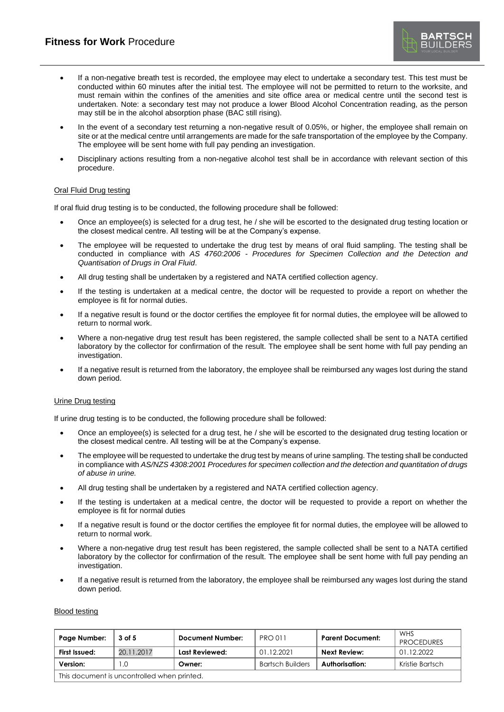- **BARTSCH**<br>BUILDERS
- If a non-negative breath test is recorded, the employee may elect to undertake a secondary test. This test must be conducted within 60 minutes after the initial test. The employee will not be permitted to return to the worksite, and must remain within the confines of the amenities and site office area or medical centre until the second test is undertaken. Note: a secondary test may not produce a lower Blood Alcohol Concentration reading, as the person may still be in the alcohol absorption phase (BAC still rising).
- In the event of a secondary test returning a non-negative result of 0.05%, or higher, the employee shall remain on site or at the medical centre until arrangements are made for the safe transportation of the employee by the Company. The employee will be sent home with full pay pending an investigation.
- Disciplinary actions resulting from a non-negative alcohol test shall be in accordance with relevant section of this procedure.

### Oral Fluid Drug testing

If oral fluid drug testing is to be conducted, the following procedure shall be followed:

- Once an employee(s) is selected for a drug test, he / she will be escorted to the designated drug testing location or the closest medical centre. All testing will be at the Company's expense.
- The employee will be requested to undertake the drug test by means of oral fluid sampling. The testing shall be conducted in compliance with *AS 4760:2006 - Procedures for Specimen Collection and the Detection and Quantisation of Drugs in Oral Fluid*.
- All drug testing shall be undertaken by a registered and NATA certified collection agency.
- If the testing is undertaken at a medical centre, the doctor will be requested to provide a report on whether the employee is fit for normal duties.
- If a negative result is found or the doctor certifies the employee fit for normal duties, the employee will be allowed to return to normal work.
- Where a non-negative drug test result has been registered, the sample collected shall be sent to a NATA certified laboratory by the collector for confirmation of the result. The employee shall be sent home with full pay pending an investigation.
- If a negative result is returned from the laboratory, the employee shall be reimbursed any wages lost during the stand down period.

### Urine Drug testing

If urine drug testing is to be conducted, the following procedure shall be followed:

- Once an employee(s) is selected for a drug test, he / she will be escorted to the designated drug testing location or the closest medical centre. All testing will be at the Company's expense.
- The employee will be requested to undertake the drug test by means of urine sampling. The testing shall be conducted in compliance with *AS/NZS 4308:2001 Procedures for specimen collection and the detection and quantitation of drugs of abuse in urine.*
- All drug testing shall be undertaken by a registered and NATA certified collection agency.
- If the testing is undertaken at a medical centre, the doctor will be requested to provide a report on whether the employee is fit for normal duties
- If a negative result is found or the doctor certifies the employee fit for normal duties, the employee will be allowed to return to normal work.
- Where a non-negative drug test result has been registered, the sample collected shall be sent to a NATA certified laboratory by the collector for confirmation of the result. The employee shall be sent home with full pay pending an investigation.
- If a negative result is returned from the laboratory, the employee shall be reimbursed any wages lost during the stand down period.

#### Blood testing

| Page Number:                                | 3 of 5     | <b>Document Number:</b> | <b>PRO 011</b>          | <b>Parent Document:</b> | WHS<br><b>PROCEDURES</b> |
|---------------------------------------------|------------|-------------------------|-------------------------|-------------------------|--------------------------|
| First Issued:                               | 20.11.2017 | Last Reviewed:          | 01.12.2021              | <b>Next Review:</b>     | 01.12.2022               |
| Version:                                    | . .0       | Owner:                  | <b>Bartsch Builders</b> | <b>Authorisation:</b>   | Kristie Bartsch          |
| This document is uncontrolled when printed. |            |                         |                         |                         |                          |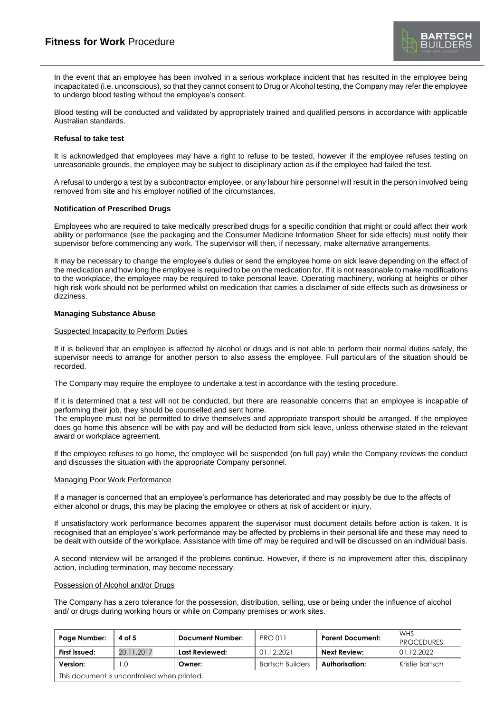In the event that an employee has been involved in a serious workplace incident that has resulted in the employee being incapacitated (i.e. unconscious), so that they cannot consent to Drug or Alcohol testing, the Company may refer the employee to undergo blood testing without the employee's consent.

Blood testing will be conducted and validated by appropriately trained and qualified persons in accordance with applicable Australian standards.

### **Refusal to take test**

It is acknowledged that employees may have a right to refuse to be tested, however if the employee refuses testing on unreasonable grounds, the employee may be subject to disciplinary action as if the employee had failed the test.

A refusal to undergo a test by a subcontractor employee, or any labour hire personnel will result in the person involved being removed from site and his employer notified of the circumstances.

#### **Notification of Prescribed Drugs**

Employees who are required to take medically prescribed drugs for a specific condition that might or could affect their work ability or performance (see the packaging and the Consumer Medicine Information Sheet for side effects) must notify their supervisor before commencing any work. The supervisor will then, if necessary, make alternative arrangements.

It may be necessary to change the employee's duties or send the employee home on sick leave depending on the effect of the medication and how long the employee is required to be on the medication for. If it is not reasonable to make modifications to the workplace, the employee may be required to take personal leave. Operating machinery, working at heights or other high risk work should not be performed whilst on medication that carries a disclaimer of side effects such as drowsiness or dizziness.

#### **Managing Substance Abuse**

#### Suspected Incapacity to Perform Duties

If it is believed that an employee is affected by alcohol or drugs and is not able to perform their normal duties safely, the supervisor needs to arrange for another person to also assess the employee. Full particulars of the situation should be recorded.

The Company may require the employee to undertake a test in accordance with the testing procedure.

If it is determined that a test will not be conducted, but there are reasonable concerns that an employee is incapable of performing their job, they should be counselled and sent home.

The employee must not be permitted to drive themselves and appropriate transport should be arranged. If the employee does go home this absence will be with pay and will be deducted from sick leave, unless otherwise stated in the relevant award or workplace agreement.

If the employee refuses to go home, the employee will be suspended (on full pay) while the Company reviews the conduct and discusses the situation with the appropriate Company personnel.

#### Managing Poor Work Performance

If a manager is concerned that an employee's performance has deteriorated and may possibly be due to the affects of either alcohol or drugs, this may be placing the employee or others at risk of accident or injury.

If unsatisfactory work performance becomes apparent the supervisor must document details before action is taken. It is recognised that an employee's work performance may be affected by problems in their personal life and these may need to be dealt with outside of the workplace. Assistance with time off may be required and will be discussed on an individual basis.

A second interview will be arranged if the problems continue. However, if there is no improvement after this, disciplinary action, including termination, may become necessary.

#### Possession of Alcohol and/or Drugs

The Company has a zero tolerance for the possession, distribution, selling, use or being under the influence of alcohol and/ or drugs during working hours or while on Company premises or work sites.

| Page Number:                                | 4 of 5     | <b>Document Number:</b> | <b>PRO 011</b>          | <b>Parent Document:</b> | WHS<br><b>PROCEDURES</b> |
|---------------------------------------------|------------|-------------------------|-------------------------|-------------------------|--------------------------|
| First Issued:                               | 20.11.2017 | Last Reviewed:          | 01.12.2021              | Next Review:            | 01.12.2022               |
| Version:                                    | .0         | Owner:                  | <b>Bartsch Builders</b> | Authorisation:          | Kristie Bartsch          |
| This document is uncontrolled when printed. |            |                         |                         |                         |                          |